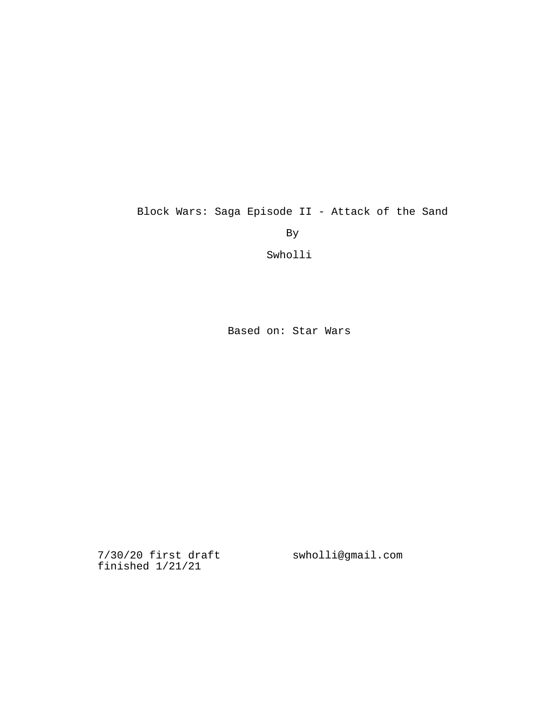Block Wars: Saga Episode II - Attack of the Sand

By

Swholli

Based on: Star Wars

7/30/20 first draft swholli@gmail.comfinished 1/21/21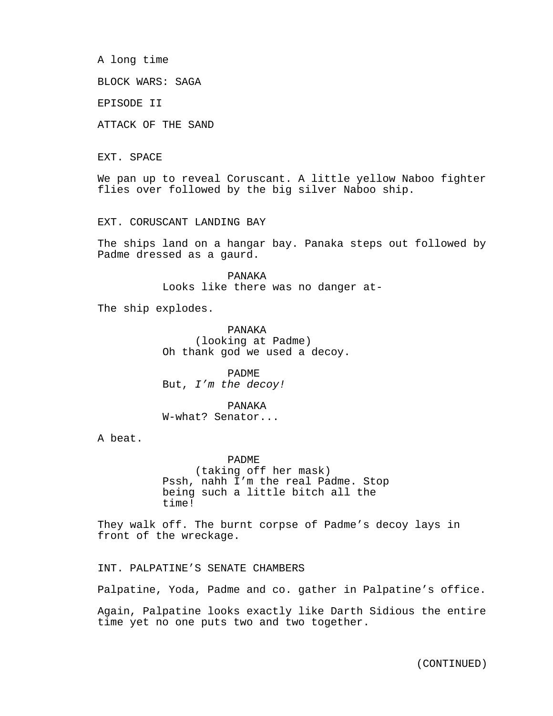A long time

BLOCK WARS: SAGA

EPISODE II

ATTACK OF THE SAND

EXT. SPACE

We pan up to reveal Coruscant. A little yellow Naboo fighter flies over followed by the big silver Naboo ship.

EXT. CORUSCANT LANDING BAY

The ships land on a hangar bay. Panaka steps out followed by Padme dressed as a gaurd.

> PANAKA Looks like there was no danger at-

The ship explodes.

PANAKA (looking at Padme) Oh thank god we used a decoy.

PADME But, *I'm the decoy!*

PANAKA W-what? Senator...

A beat.

PADME (taking off her mask) Pssh, nahh I'm the real Padme. Stop being such a little bitch all the time!

They walk off. The burnt corpse of Padme's decoy lays in front of the wreckage.

INT. PALPATINE'S SENATE CHAMBERS

Palpatine, Yoda, Padme and co. gather in Palpatine's office.

Again, Palpatine looks exactly like Darth Sidious the entire time yet no one puts two and two together.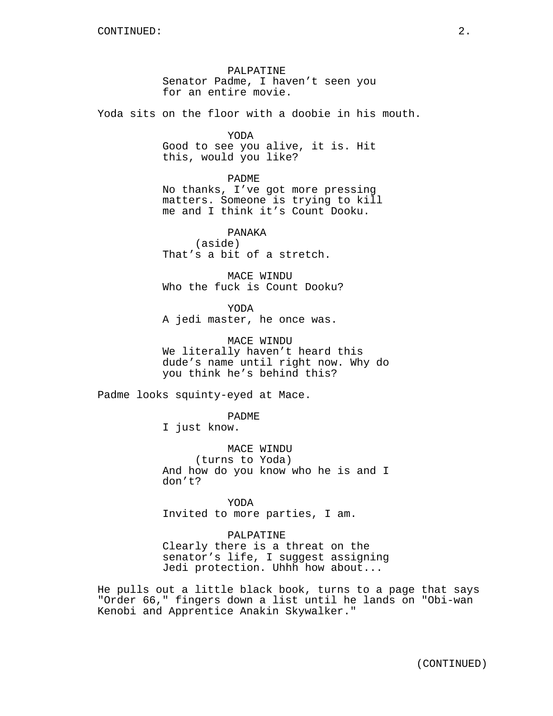PALPATINE Senator Padme, I haven't seen you for an entire movie.

Yoda sits on the floor with a doobie in his mouth.

YODA

Good to see you alive, it is. Hit this, would you like?

PADME

No thanks, I've got more pressing matters. Someone is trying to kill me and I think it's Count Dooku.

PANAKA (aside) That's a bit of a stretch.

MACE WINDU Who the fuck is Count Dooku?

YODA A jedi master, he once was.

MACE WINDU We literally haven't heard this dude's name until right now. Why do you think he's behind this?

Padme looks squinty-eyed at Mace.

PADME

I just know.

MACE WINDU (turns to Yoda) And how do you know who he is and I don't?

YODA Invited to more parties, I am.

PALPATINE

Clearly there is a threat on the senator's life, I suggest assigning Jedi protection. Uhhh how about...

He pulls out a little black book, turns to a page that says "Order 66," fingers down a list until he lands on "Obi-wan Kenobi and Apprentice Anakin Skywalker."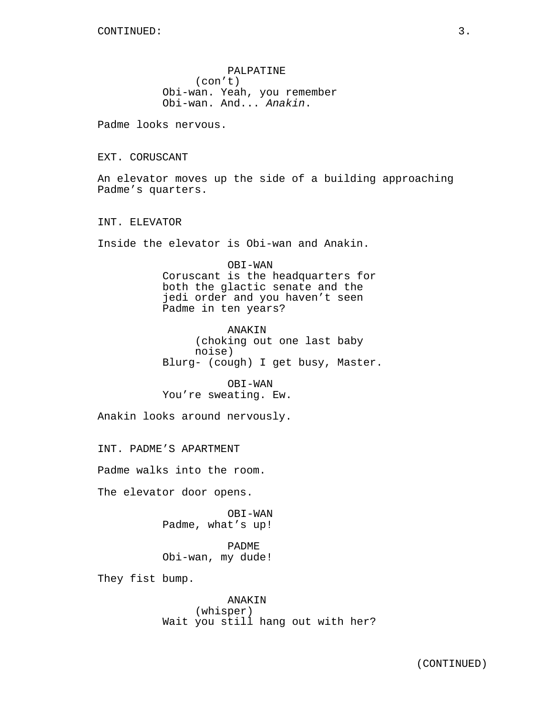PALPATINE (con't) Obi-wan. Yeah, you remember Obi-wan. And... *Anakin*.

Padme looks nervous.

EXT. CORUSCANT

An elevator moves up the side of a building approaching Padme's quarters.

INT. ELEVATOR

Inside the elevator is Obi-wan and Anakin.

OBI-WAN Coruscant is the headquarters for both the glactic senate and the jedi order and you haven't seen Padme in ten years?

ANAKIN (choking out one last baby noise) Blurg- (cough) I get busy, Master.

OBI-WAN You're sweating. Ew.

Anakin looks around nervously.

INT. PADME'S APARTMENT

Padme walks into the room.

The elevator door opens.

OBI-WAN Padme, what's up!

PADME Obi-wan, my dude!

They fist bump.

ANAKIN (whisper) Wait you still hang out with her?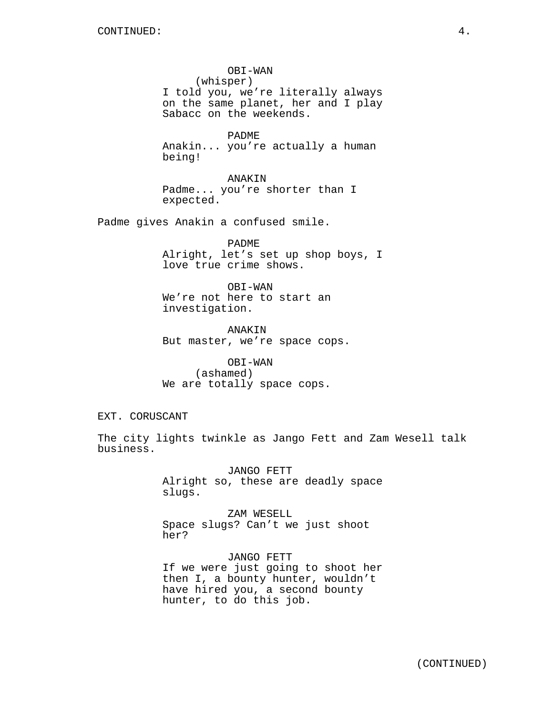OBI-WAN (whisper) I told you, we're literally always on the same planet, her and I play Sabacc on the weekends.

PADME Anakin... you're actually a human being!

ANAKIN Padme... you're shorter than I expected.

Padme gives Anakin a confused smile.

PADME Alright, let's set up shop boys, I love true crime shows.

OBI-WAN We're not here to start an investigation.

ANAKIN But master, we're space cops.

OBI-WAN (ashamed) We are totally space cops.

EXT. CORUSCANT

The city lights twinkle as Jango Fett and Zam Wesell talk business.

> JANGO FETT Alright so, these are deadly space slugs.

ZAM WESELL Space slugs? Can't we just shoot her?

JANGO FETT If we were just going to shoot her then I, a bounty hunter, wouldn't have hired you, a second bounty hunter, to do this job.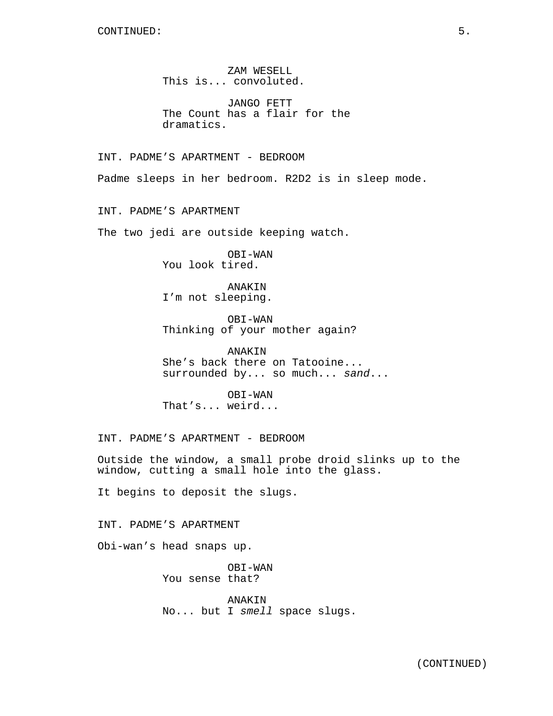ZAM WESELL This is... convoluted.

JANGO FETT The Count has a flair for the dramatics.

INT. PADME'S APARTMENT - BEDROOM

Padme sleeps in her bedroom. R2D2 is in sleep mode.

INT. PADME'S APARTMENT

The two jedi are outside keeping watch.

OBI-WAN You look tired.

ANAKIN I'm not sleeping.

OBI-WAN Thinking of your mother again?

ANAKIN She's back there on Tatooine... surrounded by... so much... *sand*...

OBI-WAN That's... weird...

INT. PADME'S APARTMENT - BEDROOM

Outside the window, a small probe droid slinks up to the window, cutting a small hole into the glass.

It begins to deposit the slugs.

INT. PADME'S APARTMENT

Obi-wan's head snaps up.

OBI-WAN You sense that?

ANAKIN No... but I *smell* space slugs.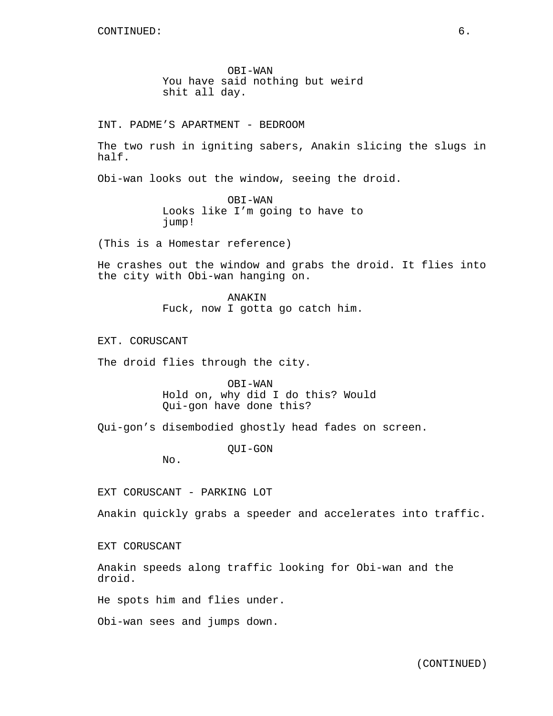OBI-WAN You have said nothing but weird shit all day.

INT. PADME'S APARTMENT - BEDROOM

The two rush in igniting sabers, Anakin slicing the slugs in half.

Obi-wan looks out the window, seeing the droid.

OBI-WAN Looks like I'm going to have to jump!

(This is a Homestar reference)

He crashes out the window and grabs the droid. It flies into the city with Obi-wan hanging on.

> ANAKIN Fuck, now I gotta go catch him.

EXT. CORUSCANT

The droid flies through the city.

OBI-WAN Hold on, why did I do this? Would Qui-gon have done this?

Qui-gon's disembodied ghostly head fades on screen.

QUI-GON

No.

EXT CORUSCANT - PARKING LOT

Anakin quickly grabs a speeder and accelerates into traffic.

EXT CORUSCANT

Anakin speeds along traffic looking for Obi-wan and the droid.

He spots him and flies under.

Obi-wan sees and jumps down.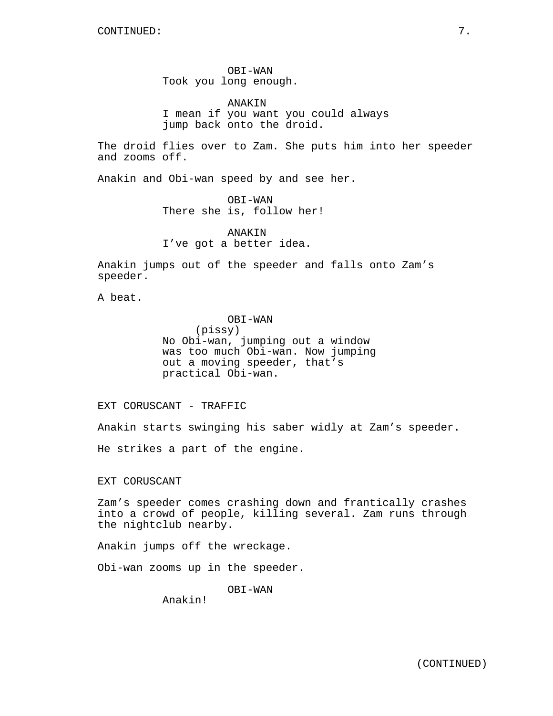OBI-WAN Took you long enough.

ANAKIN I mean if you want you could always jump back onto the droid.

The droid flies over to Zam. She puts him into her speeder and zooms off.

Anakin and Obi-wan speed by and see her.

OBI-WAN There she is, follow her!

ANAKIN I've got a better idea.

Anakin jumps out of the speeder and falls onto Zam's speeder.

A beat.

OBI-WAN (pissy) No Obi-wan, jumping out a window was too much Obi-wan. Now jumping out a moving speeder, that's practical Obi-wan.

EXT CORUSCANT - TRAFFIC

Anakin starts swinging his saber widly at Zam's speeder.

He strikes a part of the engine.

EXT CORUSCANT

Zam's speeder comes crashing down and frantically crashes into a crowd of people, killing several. Zam runs through the nightclub nearby.

Anakin jumps off the wreckage.

Obi-wan zooms up in the speeder.

OBI-WAN

Anakin!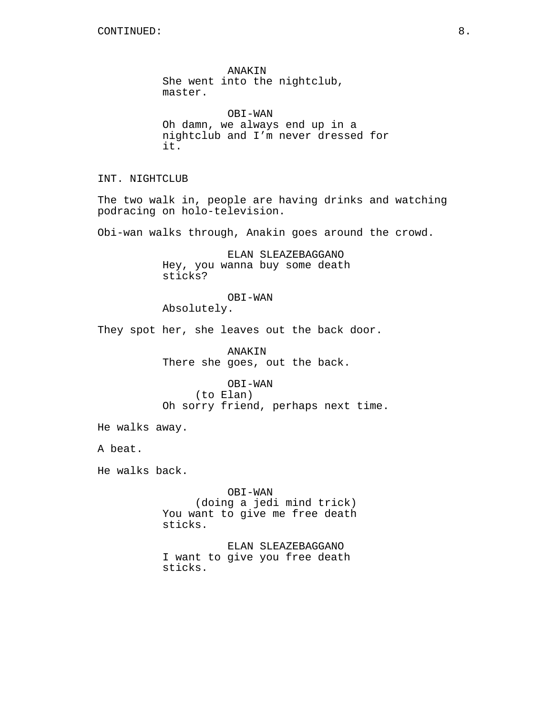ANAKIN She went into the nightclub, master.

OBI-WAN Oh damn, we always end up in a nightclub and I'm never dressed for it.

INT. NIGHTCLUB

The two walk in, people are having drinks and watching podracing on holo-television.

Obi-wan walks through, Anakin goes around the crowd.

ELAN SLEAZEBAGGANO Hey, you wanna buy some death sticks?

OBI-WAN

Absolutely.

They spot her, she leaves out the back door.

ANAKIN There she goes, out the back.

OBI-WAN (to Elan) Oh sorry friend, perhaps next time.

He walks away.

A beat.

He walks back.

OBI-WAN (doing a jedi mind trick) You want to give me free death sticks.

ELAN SLEAZEBAGGANO I want to give you free death sticks.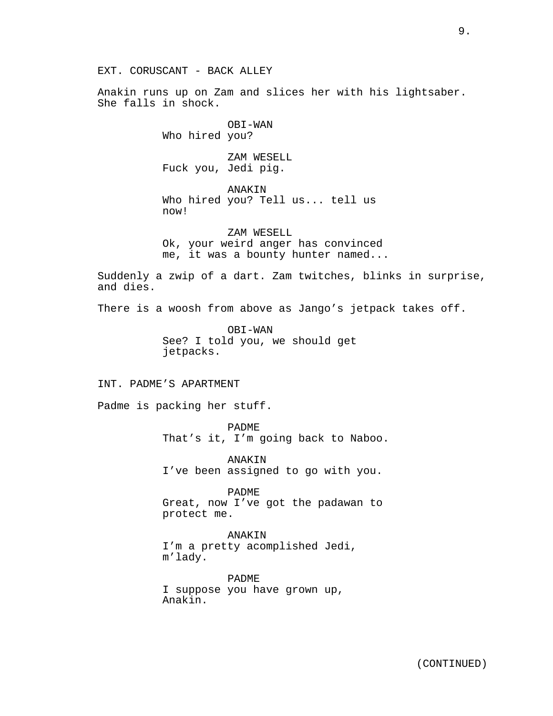Anakin runs up on Zam and slices her with his lightsaber. She falls in shock.

> OBI-WAN Who hired you?

ZAM WESELL Fuck you, Jedi pig.

ANAKIN Who hired you? Tell us... tell us now!

ZAM WESELL Ok, your weird anger has convinced me, it was a bounty hunter named...

Suddenly a zwip of a dart. Zam twitches, blinks in surprise, and dies.

There is a woosh from above as Jango's jetpack takes off.

OBI-WAN See? I told you, we should get jetpacks.

## INT. PADME'S APARTMENT

Padme is packing her stuff.

PADME That's it, I'm going back to Naboo.

ANAKIN I've been assigned to go with you.

PADME Great, now I've got the padawan to protect me.

ANAKIN I'm a pretty acomplished Jedi, m'lady.

PADME I suppose you have grown up, Anakin.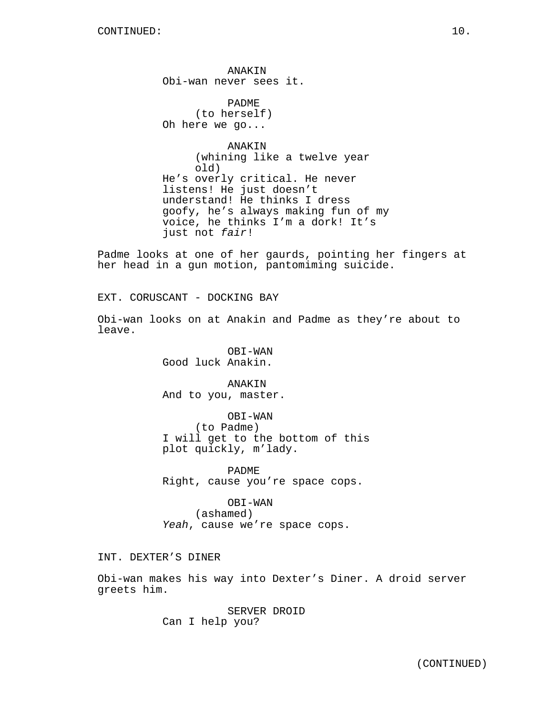ANAKIN Obi-wan never sees it.

PADME (to herself) Oh here we go...

ANAKIN (whining like a twelve year old) He's overly critical. He never listens! He just doesn't understand! He thinks I dress goofy, he's always making fun of my voice, he thinks I'm a dork! It's just not *fair*!

Padme looks at one of her gaurds, pointing her fingers at her head in a gun motion, pantomiming suicide.

EXT. CORUSCANT - DOCKING BAY

Obi-wan looks on at Anakin and Padme as they're about to leave.

> OBI-WAN Good luck Anakin.

ANAKIN And to you, master.

OBI-WAN (to Padme) I will get to the bottom of this plot quickly, m'lady.

PADME Right, cause you're space cops.

OBI-WAN (ashamed) *Yeah*, cause we're space cops.

INT. DEXTER'S DINER

Obi-wan makes his way into Dexter's Diner. A droid server greets him.

> SERVER DROID Can I help you?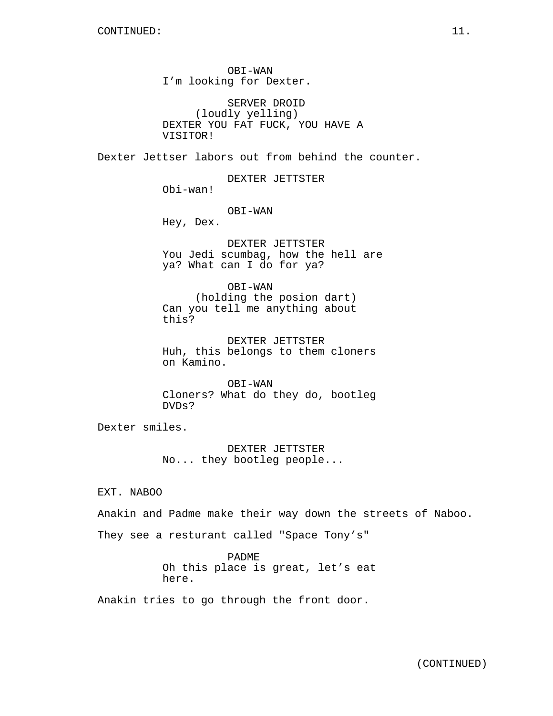OBI-WAN I'm looking for Dexter.

SERVER DROID (loudly yelling) DEXTER YOU FAT FUCK, YOU HAVE A VISITOR!

Dexter Jettser labors out from behind the counter.

DEXTER JETTSTER Obi-wan!

OBI-WAN

Hey, Dex.

DEXTER JETTSTER You Jedi scumbag, how the hell are ya? What can I do for ya?

OBI-WAN (holding the posion dart) Can you tell me anything about this?

DEXTER JETTSTER Huh, this belongs to them cloners on Kamino.

OBI-WAN Cloners? What do they do, bootleg DVDs?

Dexter smiles.

DEXTER JETTSTER No... they bootleg people...

EXT. NABOO

Anakin and Padme make their way down the streets of Naboo.

They see a resturant called "Space Tony's"

PADME Oh this place is great, let's eat here.

Anakin tries to go through the front door.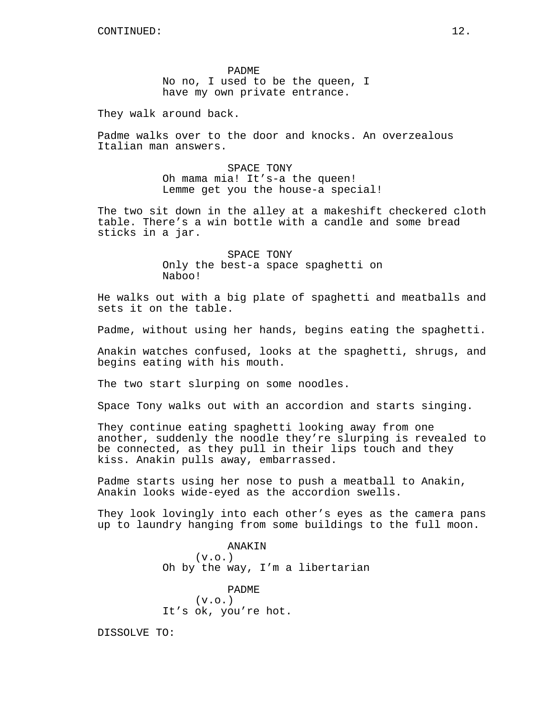PADME No no, I used to be the queen, I have my own private entrance.

They walk around back.

Padme walks over to the door and knocks. An overzealous Italian man answers.

> SPACE TONY Oh mama mia! It's-a the queen! Lemme get you the house-a special!

The two sit down in the alley at a makeshift checkered cloth table. There's a win bottle with a candle and some bread sticks in a jar.

> SPACE TONY Only the best-a space spaghetti on Naboo!

He walks out with a big plate of spaghetti and meatballs and sets it on the table.

Padme, without using her hands, begins eating the spaghetti.

Anakin watches confused, looks at the spaghetti, shrugs, and begins eating with his mouth.

The two start slurping on some noodles.

Space Tony walks out with an accordion and starts singing.

They continue eating spaghetti looking away from one another, suddenly the noodle they're slurping is revealed to be connected, as they pull in their lips touch and they kiss. Anakin pulls away, embarrassed.

Padme starts using her nose to push a meatball to Anakin, Anakin looks wide-eyed as the accordion swells.

They look lovingly into each other's eyes as the camera pans up to laundry hanging from some buildings to the full moon.

> ANAKIN (v.o.) Oh by the way, I'm a libertarian

PADME  $(v.o.)$ It's ok, you're hot.

DISSOLVE TO: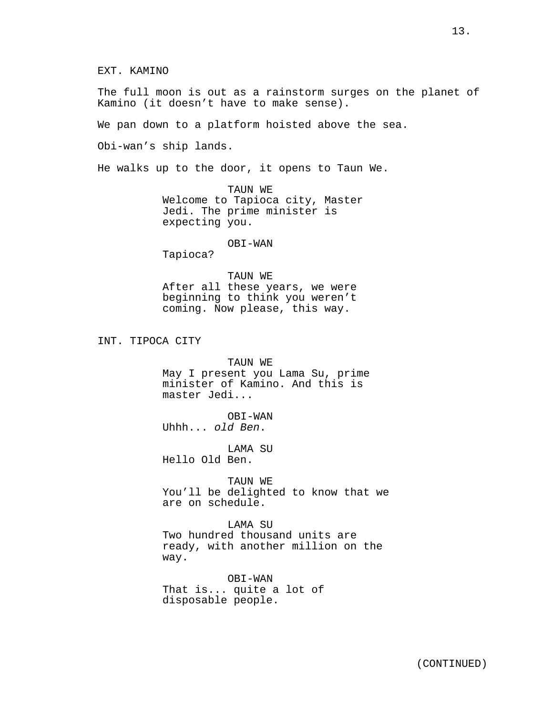EXT. KAMINO

The full moon is out as a rainstorm surges on the planet of Kamino (it doesn't have to make sense).

We pan down to a platform hoisted above the sea.

Obi-wan's ship lands.

He walks up to the door, it opens to Taun We.

TAUN WE Welcome to Tapioca city, Master Jedi. The prime minister is expecting you.

# OBI-WAN

Tapioca?

# TAUN WE

After all these years, we were beginning to think you weren't coming. Now please, this way.

INT. TIPOCA CITY

TAUN WE May I present you Lama Su, prime minister of Kamino. And this is master Jedi...

OBI-WAN Uhhh... *old Ben*.

LAMA SU Hello Old Ben.

TAUN WE You'll be delighted to know that we are on schedule.

LAMA SU Two hundred thousand units are ready, with another million on the way.

OBI-WAN That is... quite a lot of disposable people.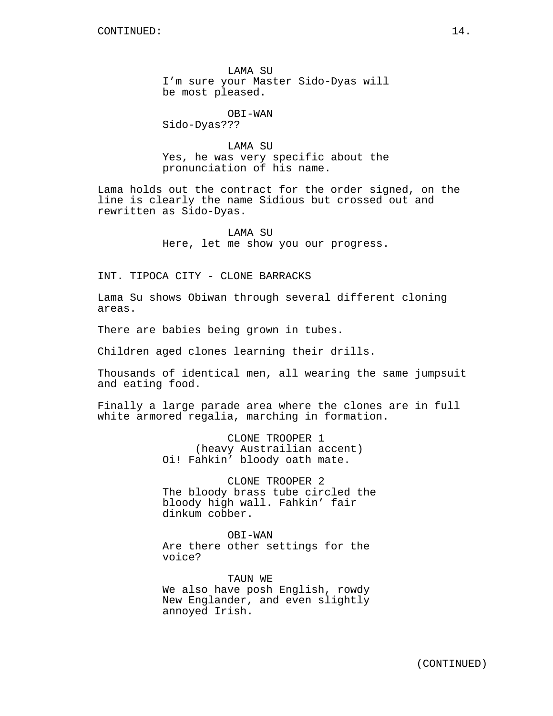LAMA SU I'm sure your Master Sido-Dyas will be most pleased.

OBI-WAN

Sido-Dyas???

LAMA SU Yes, he was very specific about the pronunciation of his name.

Lama holds out the contract for the order signed, on the line is clearly the name Sidious but crossed out and rewritten as Sido-Dyas.

> LAMA SU Here, let me show you our progress.

INT. TIPOCA CITY - CLONE BARRACKS

Lama Su shows Obiwan through several different cloning areas.

There are babies being grown in tubes.

Children aged clones learning their drills.

Thousands of identical men, all wearing the same jumpsuit and eating food.

Finally a large parade area where the clones are in full white armored regalia, marching in formation.

> CLONE TROOPER 1 (heavy Austrailian accent) Oi! Fahkin' bloody oath mate.

CLONE TROOPER 2 The bloody brass tube circled the bloody high wall. Fahkin' fair dinkum cobber.

OBI-WAN Are there other settings for the voice?

TAUN WE We also have posh English, rowdy New Englander, and even slightly annoyed Irish.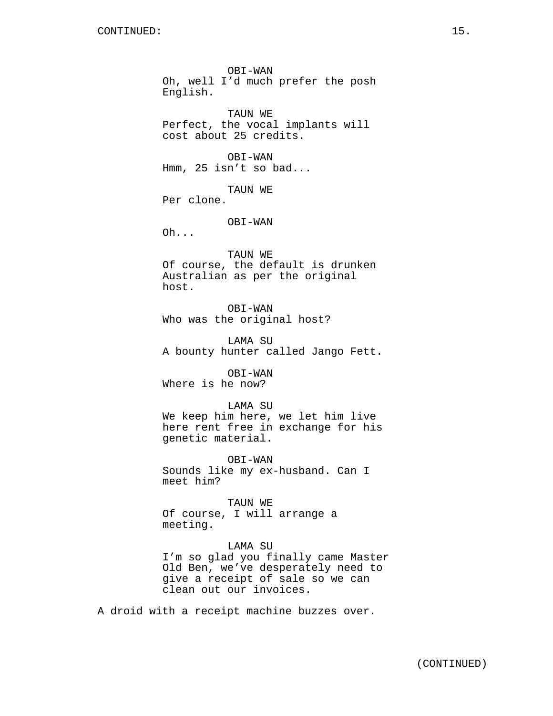OBI-WAN Oh, well I'd much prefer the posh English. TAUN WE Perfect, the vocal implants will cost about 25 credits. OBI-WAN Hmm, 25 isn't so bad... TAUN WE Per clone. OBI-WAN Oh... TAUN WE Of course, the default is drunken Australian as per the original host. OBI-WAN Who was the original host? LAMA SU A bounty hunter called Jango Fett. OBI-WAN Where is he now? LAMA SU We keep him here, we let him live here rent free in exchange for his genetic material. OBI-WAN Sounds like my ex-husband. Can I meet him? TAUN WE Of course, I will arrange a meeting. LAMA SU

I'm so glad you finally came Master Old Ben, we've desperately need to give a receipt of sale so we can clean out our invoices.

A droid with a receipt machine buzzes over.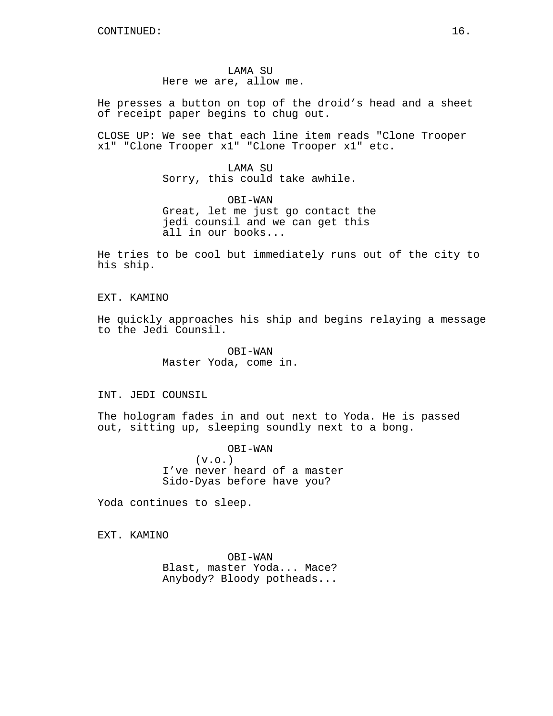LAMA SU Here we are, allow me.

He presses a button on top of the droid's head and a sheet of receipt paper begins to chug out.

CLOSE UP: We see that each line item reads "Clone Trooper x1" "Clone Trooper x1" "Clone Trooper x1" etc.

> LAMA SU Sorry, this could take awhile.

OBI-WAN Great, let me just go contact the jedi counsil and we can get this all in our books...

He tries to be cool but immediately runs out of the city to his ship.

## EXT. KAMINO

He quickly approaches his ship and begins relaying a message to the Jedi Counsil.

> OBI-WAN Master Yoda, come in.

INT. JEDI COUNSIL

The hologram fades in and out next to Yoda. He is passed out, sitting up, sleeping soundly next to a bong.

> OBI-WAN  $(v.o.)$ I've never heard of a master Sido-Dyas before have you?

Yoda continues to sleep.

EXT. KAMINO

OBI-WAN Blast, master Yoda... Mace? Anybody? Bloody potheads...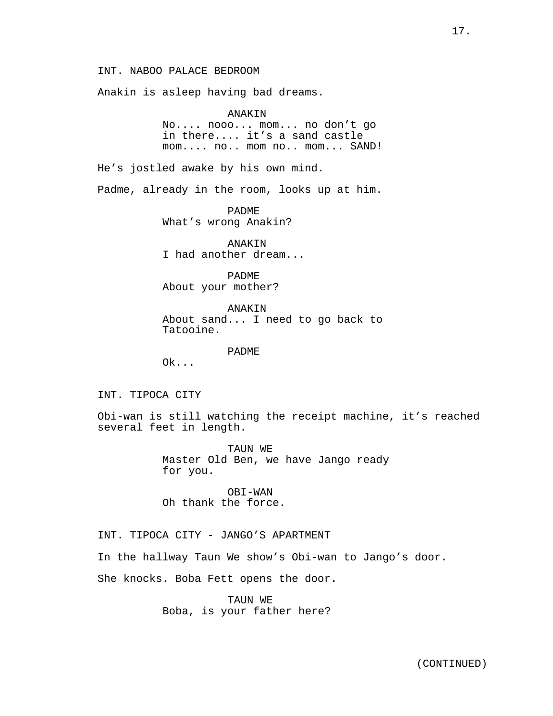INT. NABOO PALACE BEDROOM

Anakin is asleep having bad dreams.

ANAKIN

No.... nooo... mom... no don't go in there.... it's a sand castle mom.... no.. mom no.. mom... SAND!

He's jostled awake by his own mind.

Padme, already in the room, looks up at him.

PADME What's wrong Anakin?

ANAKIN I had another dream...

PADME About your mother?

ANAKIN About sand... I need to go back to Tatooine.

PADME

Ok...

INT. TIPOCA CITY

Obi-wan is still watching the receipt machine, it's reached several feet in length.

> TAUN WE Master Old Ben, we have Jango ready for you.

OBI-WAN Oh thank the force.

INT. TIPOCA CITY - JANGO'S APARTMENT

In the hallway Taun We show's Obi-wan to Jango's door.

She knocks. Boba Fett opens the door.

TAUN WE Boba, is your father here?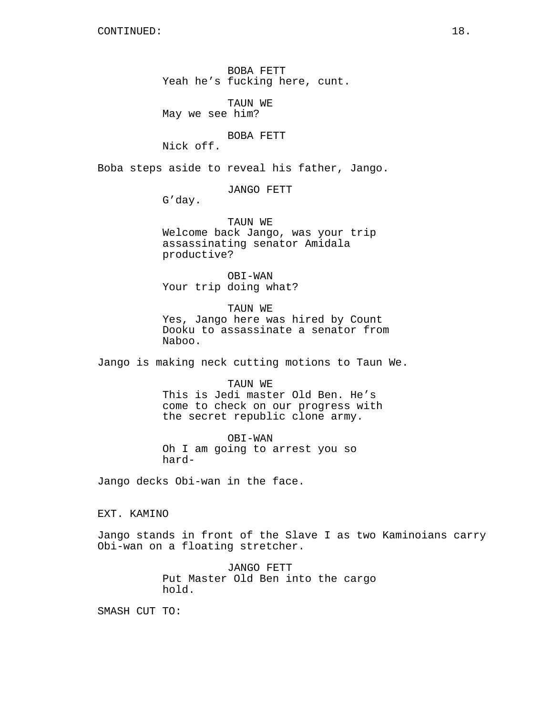BOBA FETT Yeah he's fucking here, cunt.

TAUN WE May we see him?

BOBA FETT

Nick off.

Boba steps aside to reveal his father, Jango.

JANGO FETT

G'day.

TAUN WE Welcome back Jango, was your trip assassinating senator Amidala productive?

OBI-WAN Your trip doing what?

TAUN WE Yes, Jango here was hired by Count Dooku to assassinate a senator from Naboo.

Jango is making neck cutting motions to Taun We.

TAUN WE This is Jedi master Old Ben. He's come to check on our progress with the secret republic clone army.

OBI-WAN Oh I am going to arrest you so hard-

Jango decks Obi-wan in the face.

EXT. KAMINO

Jango stands in front of the Slave I as two Kaminoians carry Obi-wan on a floating stretcher.

> JANGO FETT Put Master Old Ben into the cargo hold.

SMASH CUT TO: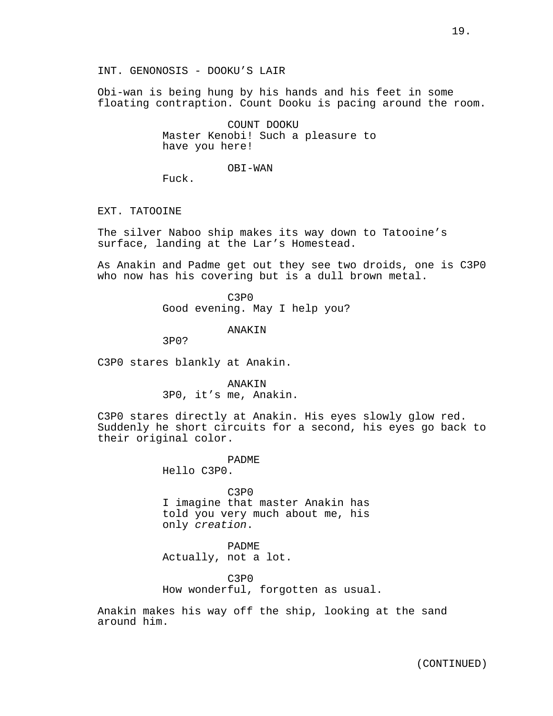INT. GENONOSIS - DOOKU'S LAIR

Obi-wan is being hung by his hands and his feet in some floating contraption. Count Dooku is pacing around the room.

> COUNT DOOKU Master Kenobi! Such a pleasure to have you here!

> > OBI-WAN

Fuck.

EXT. TATOOINE

The silver Naboo ship makes its way down to Tatooine's surface, landing at the Lar's Homestead.

As Anakin and Padme get out they see two droids, one is C3P0 who now has his covering but is a dull brown metal.

> C3P0 Good evening. May I help you?

> > ANAKIN

3P0?

C3P0 stares blankly at Anakin.

ANAKIN 3P0, it's me, Anakin.

C3P0 stares directly at Anakin. His eyes slowly glow red. Suddenly he short circuits for a second, his eyes go back to their original color.

PADME

Hello C3P0.

C3P0 I imagine that master Anakin has told you very much about me, his only *creation*.

PADME Actually, not a lot.

C3P0 How wonderful, forgotten as usual.

Anakin makes his way off the ship, looking at the sand around him.

(CONTINUED)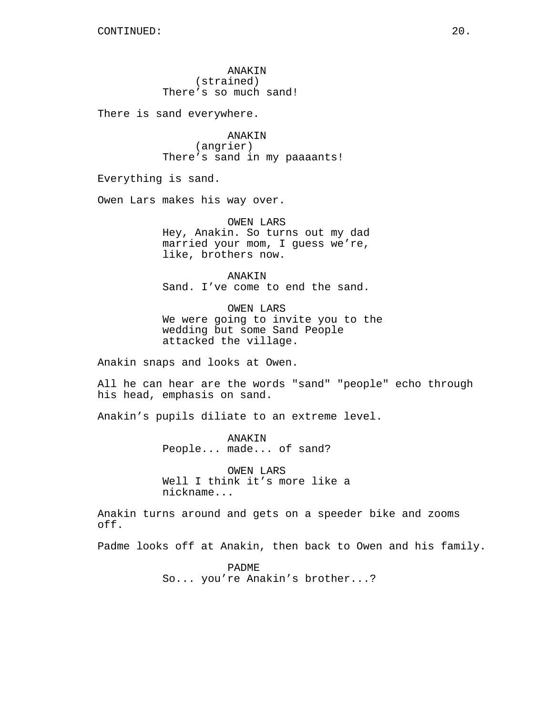ANAKIN (strained) There's so much sand!

There is sand everywhere.

ANAKIN (angrier) There's sand in my paaaants!

Everything is sand.

Owen Lars makes his way over.

OWEN LARS Hey, Anakin. So turns out my dad married your mom, I guess we're, like, brothers now.

ANAKIN Sand. I've come to end the sand.

OWEN LARS We were going to invite you to the wedding but some Sand People attacked the village.

Anakin snaps and looks at Owen.

All he can hear are the words "sand" "people" echo through his head, emphasis on sand.

Anakin's pupils diliate to an extreme level.

ANAKIN People... made... of sand?

OWEN LARS Well I think it's more like a nickname...

Anakin turns around and gets on a speeder bike and zooms off.

Padme looks off at Anakin, then back to Owen and his family.

PADME So... you're Anakin's brother...?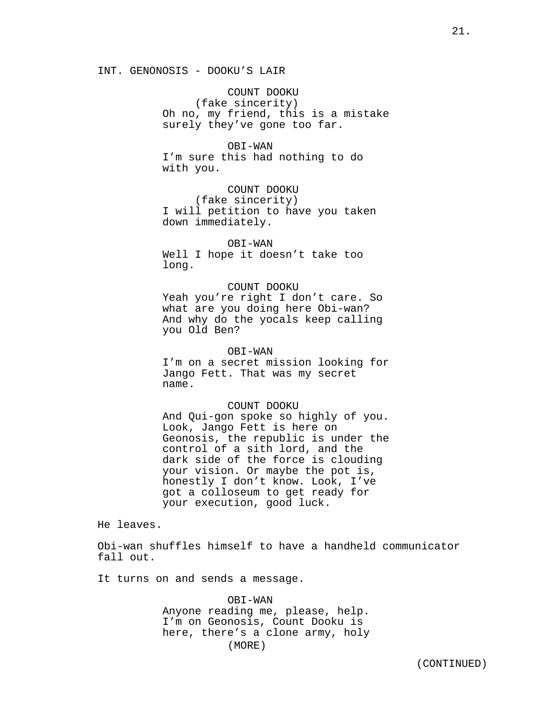COUNT DOOKU (fake sincerity) Oh no, my friend, this is a mistake surely they've gone too far.

OBI-WAN I'm sure this had nothing to do with you.

COUNT DOOKU (fake sincerity) I will petition to have you taken down immediately.

OBI-WAN Well I hope it doesn't take too long.

COUNT DOOKU Yeah you're right I don't care. So what are you doing here Obi-wan? And why do the yocals keep calling you Old Ben?

### OBI-WAN

I'm on a secret mission looking for Jango Fett. That was my secret name.

### COUNT DOOKU

And Qui-gon spoke so highly of you. Look, Jango Fett is here on Geonosis, the republic is under the control of a sith lord, and the dark side of the force is clouding your vision. Or maybe the pot is, honestly I don't know. Look, I've got a colloseum to get ready for your execution, good luck.

He leaves.

Obi-wan shuffles himself to have a handheld communicator fall out.

It turns on and sends a message.

OBI-WAN Anyone reading me, please, help. I'm on Geonosis, Count Dooku is here, there's a clone army, holy (MORE)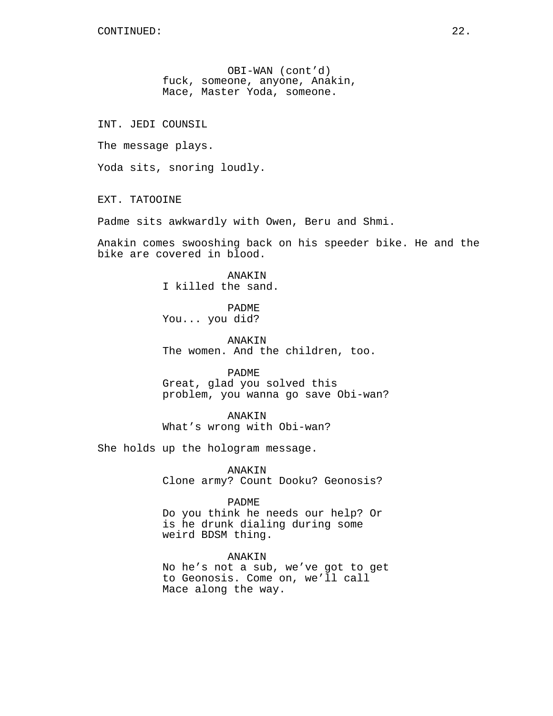OBI-WAN (cont'd) fuck, someone, anyone, Anakin, Mace, Master Yoda, someone.

INT. JEDI COUNSIL

The message plays.

Yoda sits, snoring loudly.

EXT. TATOOINE

Padme sits awkwardly with Owen, Beru and Shmi.

Anakin comes swooshing back on his speeder bike. He and the bike are covered in blood.

> **ANAKIN** I killed the sand.

PADME You... you did?

ANAKIN The women. And the children, too.

PADME

Great, glad you solved this problem, you wanna go save Obi-wan?

ANAKIN What's wrong with Obi-wan?

She holds up the hologram message.

ANAKIN Clone army? Count Dooku? Geonosis?

# PADME

Do you think he needs our help? Or is he drunk dialing during some weird BDSM thing.

ANAKIN No he's not a sub, we've got to get to Geonosis. Come on, we'll call Mace along the way.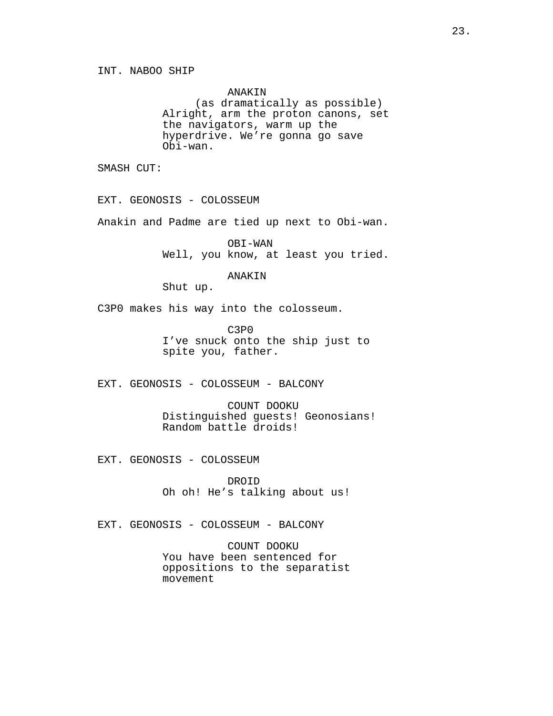ANAKIN (as dramatically as possible) Alright, arm the proton canons, set the navigators, warm up the hyperdrive. We're gonna go save Obi-wan.

SMASH CUT:

EXT. GEONOSIS - COLOSSEUM

Anakin and Padme are tied up next to Obi-wan.

OBI-WAN Well, you know, at least you tried.

### ANAKIN

Shut up.

C3P0 makes his way into the colosseum.

C3P0 I've snuck onto the ship just to spite you, father.

EXT. GEONOSIS - COLOSSEUM - BALCONY

COUNT DOOKU Distinguished guests! Geonosians! Random battle droids!

EXT. GEONOSIS - COLOSSEUM

DROID Oh oh! He's talking about us!

EXT. GEONOSIS - COLOSSEUM - BALCONY

COUNT DOOKU You have been sentenced for oppositions to the separatist movement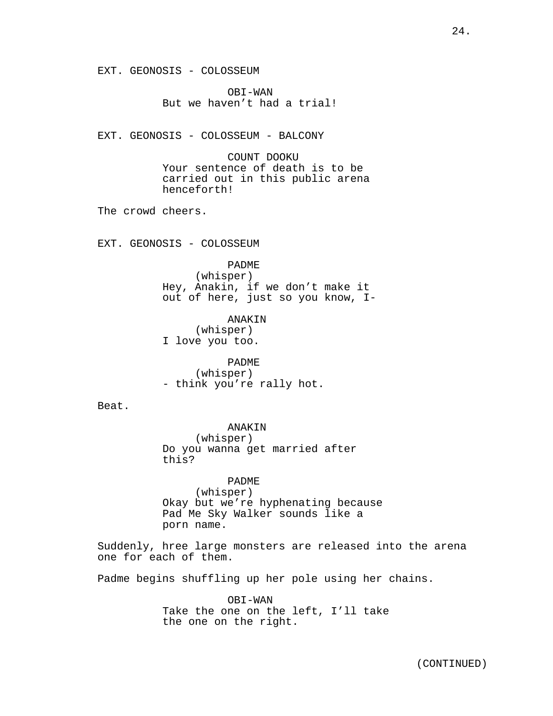EXT. GEONOSIS - COLOSSEUM

OBI-WAN But we haven't had a trial!

EXT. GEONOSIS - COLOSSEUM - BALCONY

COUNT DOOKU Your sentence of death is to be carried out in this public arena henceforth!

The crowd cheers.

EXT. GEONOSIS - COLOSSEUM

PADME

(whisper) Hey, Anakin, if we don't make it out of here, just so you know, I-

ANAKIN (whisper) I love you too.

PADME (whisper) - think you're rally hot.

Beat.

ANAKIN (whisper) Do you wanna get married after this?

PADME (whisper) Okay but we're hyphenating because Pad Me Sky Walker sounds like a porn name.

Suddenly, hree large monsters are released into the arena one for each of them.

Padme begins shuffling up her pole using her chains.

OBI-WAN Take the one on the left, I'll take the one on the right.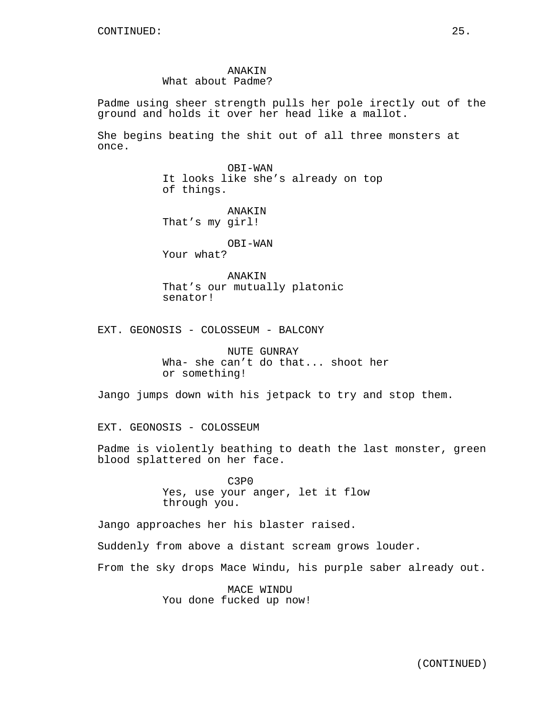Padme using sheer strength pulls her pole irectly out of the ground and holds it over her head like a mallot.

She begins beating the shit out of all three monsters at once.

> OBI-WAN It looks like she's already on top of things.

ANAKIN That's my girl!

OBI-WAN Your what?

ANAKIN That's our mutually platonic senator!

EXT. GEONOSIS - COLOSSEUM - BALCONY

NUTE GUNRAY Wha- she can't do that... shoot her or something!

Jango jumps down with his jetpack to try and stop them.

EXT. GEONOSIS - COLOSSEUM

Padme is violently beathing to death the last monster, green blood splattered on her face.

> C3P0 Yes, use your anger, let it flow through you.

Jango approaches her his blaster raised.

Suddenly from above a distant scream grows louder.

From the sky drops Mace Windu, his purple saber already out.

MACE WINDU You done fucked up now!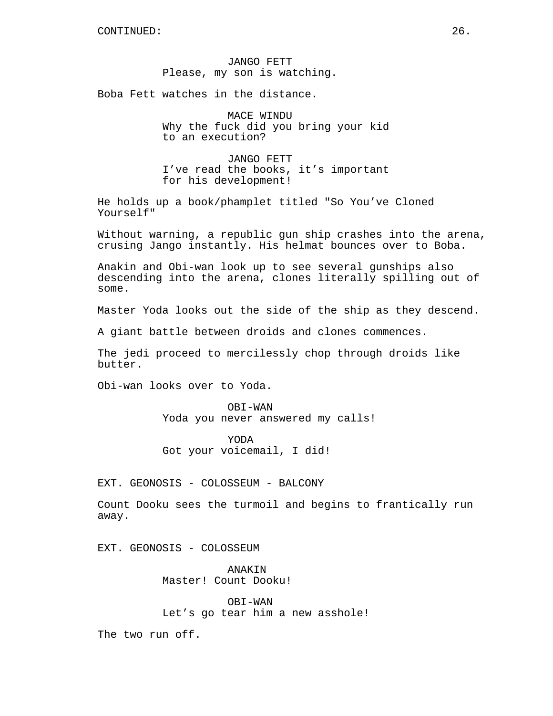JANGO FETT Please, my son is watching.

Boba Fett watches in the distance.

MACE WINDU Why the fuck did you bring your kid to an execution?

JANGO FETT I've read the books, it's important for his development!

He holds up a book/phamplet titled "So You've Cloned Yourself"

Without warning, a republic gun ship crashes into the arena, crusing Jango instantly. His helmat bounces over to Boba.

Anakin and Obi-wan look up to see several gunships also descending into the arena, clones literally spilling out of some.

Master Yoda looks out the side of the ship as they descend.

A giant battle between droids and clones commences.

The jedi proceed to mercilessly chop through droids like butter.

Obi-wan looks over to Yoda.

OBI-WAN Yoda you never answered my calls!

YODA Got your voicemail, I did!

EXT. GEONOSIS - COLOSSEUM - BALCONY

Count Dooku sees the turmoil and begins to frantically run away.

EXT. GEONOSIS - COLOSSEUM

ANAKIN Master! Count Dooku!

OBI-WAN Let's go tear him a new asshole!

The two run off.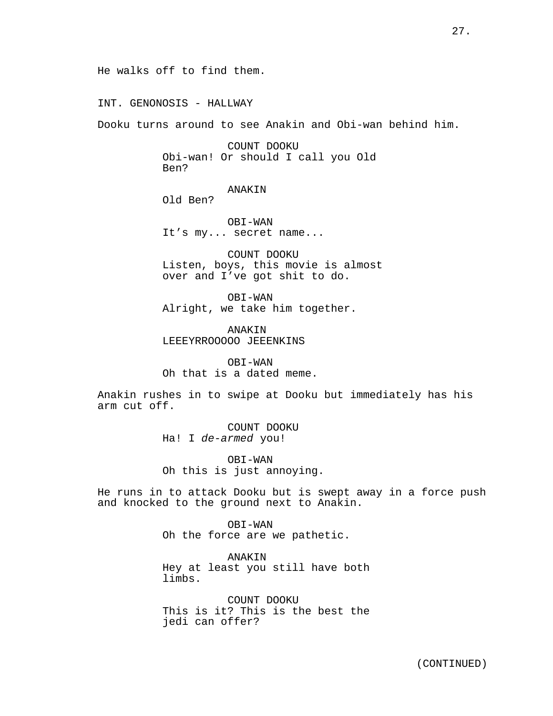INT. GENONOSIS - HALLWAY

Dooku turns around to see Anakin and Obi-wan behind him.

COUNT DOOKU Obi-wan! Or should I call you Old Ben?

ANAKIN

Old Ben?

OBI-WAN It's my... secret name...

COUNT DOOKU Listen, boys, this movie is almost over and I've got shit to do.

OBI-WAN Alright, we take him together.

ANAKIN LEEEYRROOOOO JEEENKINS

OBI-WAN Oh that is a dated meme.

Anakin rushes in to swipe at Dooku but immediately has his arm cut off.

> COUNT DOOKU Ha! I *de-armed* you!

OBI-WAN Oh this is just annoying.

He runs in to attack Dooku but is swept away in a force push and knocked to the ground next to Anakin.

> OBI-WAN Oh the force are we pathetic.

ANAKIN Hey at least you still have both limbs.

COUNT DOOKU This is it? This is the best the jedi can offer?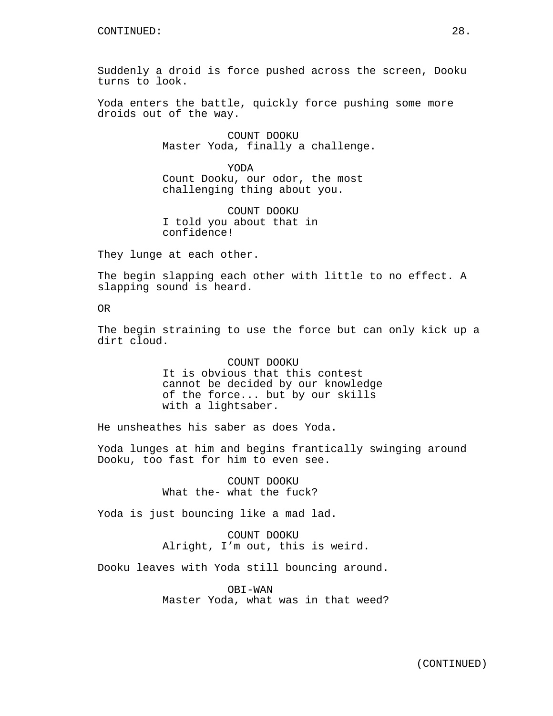Suddenly a droid is force pushed across the screen, Dooku turns to look.

Yoda enters the battle, quickly force pushing some more droids out of the way.

> COUNT DOOKU Master Yoda, finally a challenge.

YODA Count Dooku, our odor, the most challenging thing about you.

COUNT DOOKU I told you about that in confidence!

They lunge at each other.

The begin slapping each other with little to no effect. A slapping sound is heard.

OR

The begin straining to use the force but can only kick up a dirt cloud.

> COUNT DOOKU It is obvious that this contest cannot be decided by our knowledge of the force... but by our skills with a lightsaber.

He unsheathes his saber as does Yoda.

Yoda lunges at him and begins frantically swinging around Dooku, too fast for him to even see.

> COUNT DOOKU What the- what the fuck?

Yoda is just bouncing like a mad lad.

COUNT DOOKU Alright, I'm out, this is weird.

Dooku leaves with Yoda still bouncing around.

OBI-WAN Master Yoda, what was in that weed?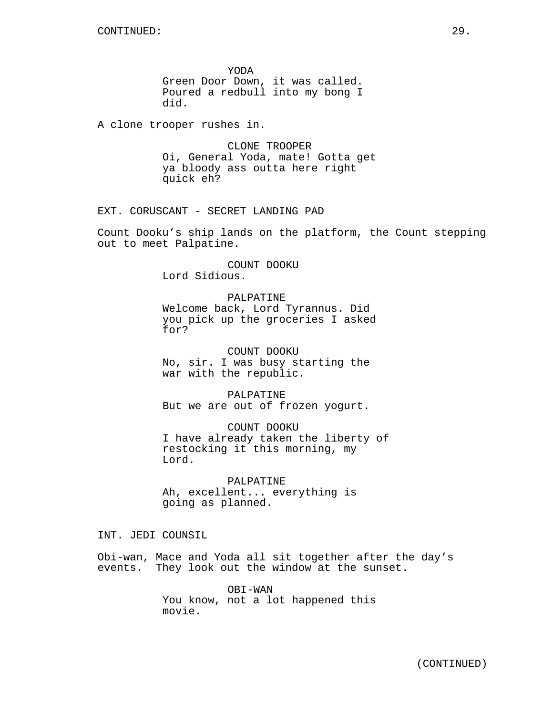YODA Green Door Down, it was called. Poured a redbull into my bong I did.

A clone trooper rushes in.

CLONE TROOPER Oi, General Yoda, mate! Gotta get ya bloody ass outta here right quick eh?

EXT. CORUSCANT - SECRET LANDING PAD

Count Dooku's ship lands on the platform, the Count stepping out to meet Palpatine.

> COUNT DOOKU Lord Sidious.

> > PALPATINE

Welcome back, Lord Tyrannus. Did you pick up the groceries I asked for?

COUNT DOOKU No, sir. I was busy starting the war with the republic.

PALPATINE But we are out of frozen yogurt.

COUNT DOOKU I have already taken the liberty of restocking it this morning, my Lord.

PALPATINE Ah, excellent... everything is going as planned.

INT. JEDI COUNSIL

Obi-wan, Mace and Yoda all sit together after the day's events. They look out the window at the sunset.

> OBI-WAN You know, not a lot happened this movie.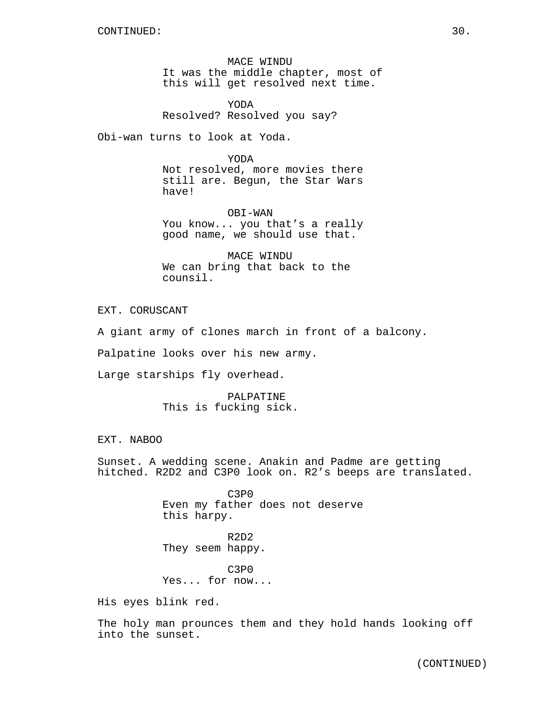MACE WINDU It was the middle chapter, most of this will get resolved next time.

YODA Resolved? Resolved you say?

Obi-wan turns to look at Yoda.

YODA Not resolved, more movies there still are. Begun, the Star Wars have!

OBI-WAN You know... you that's a really good name, we should use that.

MACE WINDU We can bring that back to the counsil.

EXT. CORUSCANT

A giant army of clones march in front of a balcony.

Palpatine looks over his new army.

Large starships fly overhead.

PALPATINE This is fucking sick.

EXT. NABOO

Sunset. A wedding scene. Anakin and Padme are getting hitched. R2D2 and C3P0 look on. R2's beeps are translated.

> C3P0 Even my father does not deserve this harpy.

R2D2 They seem happy.

C3P0 Yes... for now...

His eyes blink red.

The holy man prounces them and they hold hands looking off into the sunset.